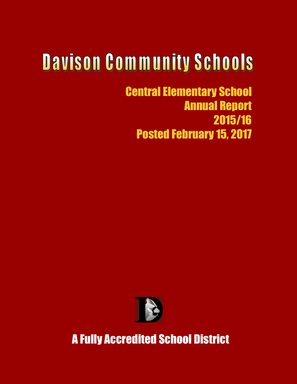# **Davison Community Schools**

Central Elementary School Annual Report 2015/16 Posted February 15, 2017



A Fully Accredited School District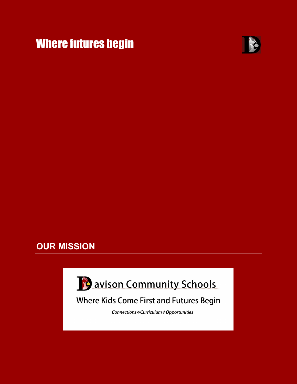



# **OUR MISSION**

i



# **Where Kids Come First and Futures Begin**

Connections \*Curriculum \*Opportunities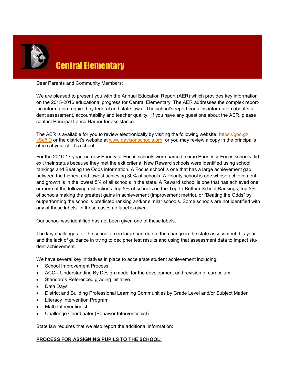

Dear Parents and Community Members:

We are pleased to present you with the Annual Education Report (AER) which provides key information on the 2015-2016 educational progress for Central Elementary. The AER addresses the complex reporting information required by federal and state laws. The school's report contains information about student assessment, accountability and teacher quality. If you have any questions about the AER, please contact Principal Lance Harper for assistance.

The AER is available for you to review electronically by visiting the following website: [https://goo.gl/](https://goo.gl/kSe5iD) [kSe5iD](https://goo.gl/kSe5iD) or the district's website at [www.davisonschools.org,](http://www.davisonschools.org) or you may review a copy in the principal's office at your child's school.

For the 2016-17 year, no new Priority or Focus schools were named; some Priority or Focus schools did exit their status because they met the exit criteria. New Reward schools were identified using school rankings and Beating the Odds information. A Focus school is one that has a large achievement gap between the highest and lowest achieving 30% of schools. A Priority school is one whose achievement and growth is in the lowest 5% of all schools in the state. A Reward school is one that has achieved one or more of the following distinctions: top 5% of schools on the Top-to-Bottom School Rankings, top 5% of schools making the greatest gains in achievement (improvement metric), or "Beating the Odds" by outperforming the school's predicted ranking and/or similar schools. Some schools are not identified with any of these labels. In these cases no label is given.

Our school was identified has not been given one of these labels.

The key challenges for the school are in large part due to the change in the state assessment this year and the lack of guidance in trying to decipher test results and using that assessment data to impact student achievement.

We have several key initiatives in place to accelerate student achievement including:

- School Improvement Process
- ACC—Understanding By Design model for the development and revision of curriculum.
- Standards Referenced grading initiative.
- Data Days
- District and Building Professional Learning Communities by Grade Level and/or Subject Matter
- Literacy Intervention Program
- Math Interventionist
- Challenge Coordinator (Behavior Interventionist)

State law requires that we also report the additional information:

#### **PROCESS FOR ASSIGNING PUPILS TO THE SCHOOL:**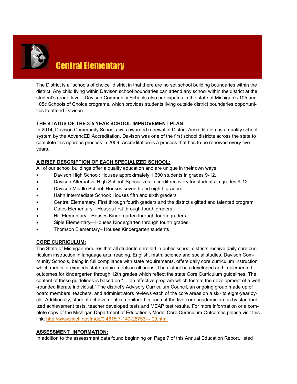

The District is a "schools of choice" district in that there are no set school building boundaries within the district. Any child living within Davison school boundaries can attend any school within the district at the student's grade level. Davison Community Schools also participates in the state of Michigan's 105 and 105c Schools of Choice programs, which provides students living outside district boundaries opportunities to attend Davison.

# **THE STATUS OF THE 3-5 YEAR SCHOOL IMPROVEMENT PLAN:**

In 2014, Davison Community Schools was awarded renewal of District Accreditation as a quality school system by the AdvancED Accreditation. Davison was one of the first school districts across the state to complete this rigorous process in 2009. Accreditation is a process that has to be renewed every five years.

# **A BRIEF DESCRIPTION OF EACH SPECIALIZED SCHOOL:**

All of our school buildings offer a quality education and are unique in their own ways.

- Davison High School: Houses approximately 1,600 students in grades 9-12.
- Davison Alternative High School: Specializes in credit recovery for students in grades 9-12.
- Davison Middle School: Houses seventh and eighth graders.
- Hahn Intermediate School: Houses fifth and sixth graders
- Central Elementary: First through fourth graders and the district's gifted and talented program
- Gates Elementary—Houses first through fourth graders
- Hill Elementary—Houses Kindergarten through fourth graders
- Siple Elementary—Houses Kindergarten through fourth grades
- Thomson Elementary– Houses Kindergarten students

#### **CORE CURRICULUM:**

The State of Michigan requires that all students enrolled in public school districts receive daily core curriculum instruction in language arts, reading, English, math, science and social studies. Davison Community Schools, being in full compliance with state requirements, offers daily core curriculum instruction which meets or exceeds state requirements in all areas. The district has developed and implemented outcomes for kindergarten through 12th grades which reflect the state Core Curriculum guidelines. The content of these guidelines is based on ". . .an effective program which fosters the development of a well -rounded literate individual." The district's Advisory Curriculum Council, an ongoing group made up of board members, teachers, and administrators reviews each of the core areas on a six- to eight-year cycle. Additionally, student achievement is monitored in each of the five core academic areas by standardized achievement tests, teacher developed tests and MEAP test results. For more information or a complete copy of the Michigan Department of Education's Model Core Curriculum Outcomes please visit this link: [http://www.mich.gov/mde/0,4615,7](http://www.mich.gov/mde/0,4615,7-140-28753---,00.html)-140-28753---,00.html

#### **ASSESSMENT INFORMATION:**

In addition to the assessment data found beginning on Page 7 of this Annual Education Report, listed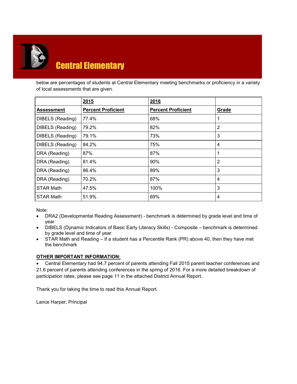

below are percentages of students at Central Elementary meeting benchmarks or proficiency in a variety of local assessments that are given.

|                   | 2015                      | 2016                      |       |
|-------------------|---------------------------|---------------------------|-------|
| <b>Assessment</b> | <b>Percent Proficient</b> | <b>Percent Proficient</b> | Grade |
| DIBELS (Reading)  | 77.4%                     | 68%                       |       |
| DIBELS (Reading)  | 79.2%                     | 82%                       | 2     |
| DIBELS (Reading)  | 79.1%                     | 73%                       | 3     |
| DIBELS (Reading)  | 84.2%                     | 75%                       | 4     |
| DRA (Reading)     | 87%                       | 87%                       | 1     |
| DRA (Reading)     | 81.4%                     | 90%                       | 2     |
| DRA (Reading)     | 86.4%                     | 89%                       | 3     |
| DRA (Reading)     | 70.2%                     | 87%                       | 4     |
| <b>STAR Math</b>  | 47.5%                     | 100%                      | 3     |
| <b>STAR Math</b>  | 51.9%                     | 69%                       | 4     |

Note:

- DRA2 (Developmental Reading Assessment) benchmark is determined by grade level and time of year
- DIBELS (Dynamic Indicators of Basic Early Literacy Skills) Composite benchmark is determined by grade level and time of year
- STAR Math and Reading If a student has a Percentile Rank (PR) above 40, then they have met the benchmark

# **OTHER IMPORTANT INFORMATION:**

 Central Elementary had 94.7 percent of parents attending Fall 2015 parent teacher conferences and 21.6 percent of parents attending conferences in the spring of 2016. For a more detailed breakdown of participation rates, please see page 11 in the attached District Annual Report.

Thank you for taking the time to read this Annual Report.

Lance Harper, Principal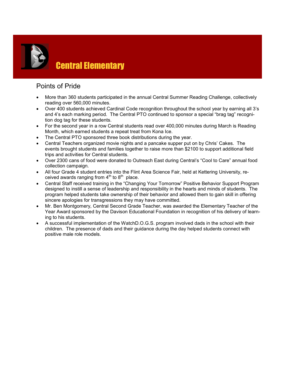

# Points of Pride

- More than 360 students participated in the annual Central Summer Reading Challenge, collectively reading over 560,000 minutes.
- Over 400 students achieved Cardinal Code recognition throughout the school year by earning all 3's and 4's each marking period. The Central PTO continued to sponsor a special "brag tag" recognition dog tag for these students.
- For the second year in a row Central students read over 400,000 minutes during March is Reading Month, which earned students a repeat treat from Kona Ice.
- The Central PTO sponsored three book distributions during the year.
- Central Teachers organized movie nights and a pancake supper put on by Chris' Cakes. The events brought students and families together to raise more than \$2100 to support additional field trips and activities for Central students.
- Over 2300 cans of food were donated to Outreach East during Central's "Cool to Care" annual food collection campaign.
- All four Grade 4 student entries into the Flint Area Science Fair, held at Kettering University, received awards ranging from  $4<sup>th</sup>$  to  $8<sup>th</sup>$  place.
- Central Staff received training in the "Changing Your Tomorrow" Positive Behavior Support Program designed to instill a sense of leadership and responsibility in the hearts and minds of students. The program helped students take ownership of their behavior and allowed them to gain skill in offering sincere apologies for transgressions they may have committed.
- Mr. Ben Montgomery, Central Second Grade Teacher, was awarded the Elementary Teacher of the Year Award sponsored by the Davison Educational Foundation in recognition of his delivery of learning to his students.
- A successful implementation of the WatchD.O.G.S. program involved dads in the school with their children. The presence of dads and their guidance during the day helped students connect with positive male role models.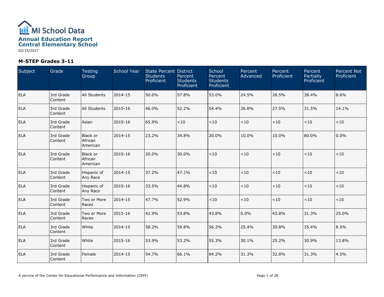

| Subject    | Grade                | <b>Testing</b><br>Group                | <b>School Year</b> | <b>State Percent District</b><br><b>Students</b><br>Proficient | Percent<br><b>Students</b><br>Proficient | School<br>Percent<br><b>Students</b><br>Proficient | Percent<br>Advanced | Percent<br>Proficient | Percent<br><b>Partially</b><br>Proficient | Percent Not<br>Proficient |
|------------|----------------------|----------------------------------------|--------------------|----------------------------------------------------------------|------------------------------------------|----------------------------------------------------|---------------------|-----------------------|-------------------------------------------|---------------------------|
| <b>ELA</b> | 3rd Grade<br>Content | <b>All Students</b>                    | 2014-15            | 50.0%                                                          | 57.8%                                    | 53.0%                                              | 24.5%               | 28.5%                 | 38.4%                                     | 8.6%                      |
| <b>ELA</b> | 3rd Grade<br>Content | All Students                           | 2015-16            | 46.0%                                                          | 52.2%                                    | 54.4%                                              | 26.8%               | 27.5%                 | 31.5%                                     | 14.1%                     |
| ELA        | 3rd Grade<br>Content | Asian                                  | 2015-16            | 65.9%                                                          | < 10                                     | < 10                                               | < 10                | < 10                  | < 10                                      | $<10$                     |
| <b>ELA</b> | 3rd Grade<br>Content | Black or<br>African<br>American        | 2014-15            | 23.2%                                                          | 34.8%                                    | 20.0%                                              | 10.0%               | 10.0%                 | 80.0%                                     | 0.0%                      |
| <b>ELA</b> | 3rd Grade<br>Content | <b>Black or</b><br>African<br>American | 2015-16            | 20.0%                                                          | 30.0%                                    | < 10                                               | $<10$               | < 10                  | ~10                                       | $<\!10$                   |
| ELA        | 3rd Grade<br>Content | Hispanic of<br>Any Race                | 2014-15            | 37.2%                                                          | 47.1%                                    | < 10                                               | < 10                | < 10                  | $<10$                                     | < 10                      |
| <b>ELA</b> | 3rd Grade<br>Content | Hispanic of<br>Any Race                | 2015-16            | 33.5%                                                          | 44.8%                                    | $<\!10$                                            | $<10$               | $<10$                 | $<10$                                     | $<10$                     |
| ELA        | 3rd Grade<br>Content | Two or More<br>Races                   | 2014-15            | 47.7%                                                          | 52.9%                                    | < 10                                               | $<10$               | ${<}10$               | $<10$                                     | < 10                      |
| ELA        | 3rd Grade<br>Content | Two or More<br>Races                   | 2015-16            | 42.9%                                                          | 53.8%                                    | 43.8%                                              | $0.0\%$             | 43.8%                 | 31.3%                                     | 25.0%                     |
| <b>ELA</b> | 3rd Grade<br>Content | White                                  | 2014-15            | 58.2%                                                          | 59.8%                                    | 56.2%                                              | 25.4%               | 30.8%                 | 35.4%                                     | 8.5%                      |
| ELA        | 3rd Grade<br>Content | White                                  | 2015-16            | 53.9%                                                          | 53.2%                                    | 55.3%                                              | 30.1%               | 25.2%                 | 30.9%                                     | 13.8%                     |
| <b>ELA</b> | 3rd Grade<br>Content | Female                                 | 2014-15            | 54.7%                                                          | 66.1%                                    | 64.2%                                              | 31.3%               | 32.8%                 | 31.3%                                     | 4.5%                      |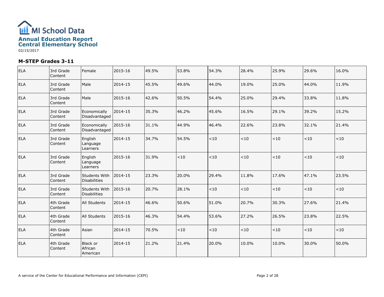

| <b>ELA</b> | 3rd Grade<br>Content | Female                                 | 2015-16 | 49.5% | 53.8% | 54.3% | 28.4% | 25.9% | 29.6%   | 16.0%   |
|------------|----------------------|----------------------------------------|---------|-------|-------|-------|-------|-------|---------|---------|
| <b>ELA</b> | 3rd Grade<br>Content | Male                                   | 2014-15 | 45.5% | 49.6% | 44.0% | 19.0% | 25.0% | 44.0%   | 11.9%   |
| ELA        | 3rd Grade<br>Content | Male                                   | 2015-16 | 42.6% | 50.5% | 54.4% | 25.0% | 29.4% | 33.8%   | 11.8%   |
| <b>ELA</b> | 3rd Grade<br>Content | Economically<br>Disadvantaged          | 2014-15 | 35.3% | 46.2% | 45.6% | 16.5% | 29.1% | 39.2%   | 15.2%   |
| <b>ELA</b> | 3rd Grade<br>Content | Economically<br>Disadvantaged          | 2015-16 | 31.1% | 44.9% | 46.4% | 22.6% | 23.8% | 32.1%   | 21.4%   |
| <b>ELA</b> | 3rd Grade<br>Content | English<br>Language<br>Learners        | 2014-15 | 34.7% | 54.5% | < 10  | $<10$ | < 10  | < 10    | ${<}10$ |
| <b>ELA</b> | 3rd Grade<br>Content | English<br>Language<br>Learners        | 2015-16 | 31.9% | < 10  | $<10$ | < 10  | < 10  | $<\!10$ | ${<}10$ |
| <b>ELA</b> | 3rd Grade<br>Content | Students With<br><b>Disabilities</b>   | 2014-15 | 23.3% | 20.0% | 29.4% | 11.8% | 17.6% | 47.1%   | 23.5%   |
| <b>ELA</b> | 3rd Grade<br>Content | Students With<br><b>Disabilities</b>   | 2015-16 | 20.7% | 28.1% | < 10  | < 10  | < 10  | < 10    | < 10    |
| <b>ELA</b> | 4th Grade<br>Content | <b>All Students</b>                    | 2014-15 | 46.6% | 50.6% | 51.0% | 20.7% | 30.3% | 27.6%   | 21.4%   |
| <b>ELA</b> | 4th Grade<br>Content | All Students                           | 2015-16 | 46.3% | 54.4% | 53.6% | 27.2% | 26.5% | 23.8%   | 22.5%   |
| <b>ELA</b> | 4th Grade<br>Content | Asian                                  | 2014-15 | 70.5% | < 10  | < 10  | < 10  | < 10  | < 10    | < 10    |
| <b>ELA</b> | 4th Grade<br>Content | <b>Black or</b><br>African<br>American | 2014-15 | 21.2% | 21.4% | 20.0% | 10.0% | 10.0% | 30.0%   | 50.0%   |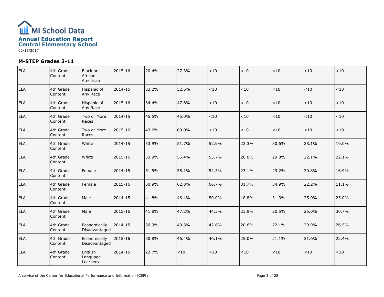

| <b>ELA</b> | 4th Grade<br>Content | Black or<br>African<br>American | 2015-16 | 20.4% | 27.3%   | < 10  | < 10  | < 10  | $<10$ | < 10    |
|------------|----------------------|---------------------------------|---------|-------|---------|-------|-------|-------|-------|---------|
| <b>ELA</b> | 4th Grade<br>Content | Hispanic of<br>Any Race         | 2014-15 | 33.2% | 52.6%   | < 10  | 10    | < 10  | < 10  | $<10$   |
| <b>ELA</b> | 4th Grade<br>Content | Hispanic of<br>Any Race         | 2015-16 | 34.4% | 47.8%   | < 10  | < 10  | < 10  | < 10  | < 10    |
| <b>ELA</b> | 4th Grade<br>Content | Two or More<br>Races            | 2014-15 | 45.5% | 45.0%   | < 10  | < 10  | < 10  | < 10  | $<\!10$ |
| <b>ELA</b> | 4th Grade<br>Content | Two or More<br>Races            | 2015-16 | 43.6% | 60.0%   | < 10  | < 10  | < 10  | < 10  | $<10$   |
| <b>ELA</b> | 4th Grade<br>Content | White                           | 2014-15 | 53.9% | 51.7%   | 52.9% | 22.3% | 30.6% | 28.1% | 19.0%   |
| <b>ELA</b> | 4th Grade<br>Content | White                           | 2015-16 | 53.9% | 56.4%   | 55.7% | 26.0% | 29.8% | 22.1% | 22.1%   |
| <b>ELA</b> | 4th Grade<br>Content | Female                          | 2014-15 | 51.5% | 55.1%   | 52.3% | 23.1% | 29.2% | 30.8% | 16.9%   |
| <b>ELA</b> | 4th Grade<br>Content | Female                          | 2015-16 | 50.9% | 62.0%   | 66.7% | 31.7% | 34.9% | 22.2% | 11.1%   |
| <b>ELA</b> | 4th Grade<br>Content | Male                            | 2014-15 | 41.8% | 46.4%   | 50.0% | 18.8% | 31.3% | 25.0% | 25.0%   |
| <b>ELA</b> | 4th Grade<br>Content | Male                            | 2015-16 | 41.8% | 47.2%   | 44.3% | 23.9% | 20.5% | 25.0% | 30.7%   |
| <b>ELA</b> | 4th Grade<br>Content | Economically<br>Disadvantaged   | 2014-15 | 30.9% | 40.3%   | 42.6% | 20.6% | 22.1% | 30.9% | 26.5%   |
| <b>ELA</b> | 4th Grade<br>Content | Economically<br>Disadvantaged   | 2015-16 | 30.8% | 46.4%   | 46.1% | 25.0% | 21.1% | 31.6% | 22.4%   |
| <b>ELA</b> | 4th Grade<br>Content | English<br>Language<br>Learners | 2014-15 | 23.7% | $<\!10$ | $<10$ | < 10  | < 10  | < 10  | $<\!10$ |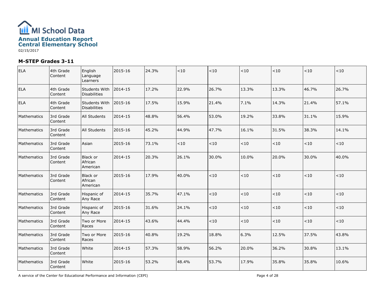

| <b>ELA</b>  | 4th Grade<br>Content | English<br>Language<br>Learners      | 2015-16 | 24.3% | $<10$ | $<\!10$ | $<10$ | $<10$ | $<10$ | < 10    |
|-------------|----------------------|--------------------------------------|---------|-------|-------|---------|-------|-------|-------|---------|
| <b>ELA</b>  | 4th Grade<br>Content | Students With<br><b>Disabilities</b> | 2014-15 | 17.2% | 22.9% | 26.7%   | 13.3% | 13.3% | 46.7% | 26.7%   |
| <b>ELA</b>  | 4th Grade<br>Content | Students With<br><b>Disabilities</b> | 2015-16 | 17.5% | 15.9% | 21.4%   | 7.1%  | 14.3% | 21.4% | 57.1%   |
| Mathematics | 3rd Grade<br>Content | All Students                         | 2014-15 | 48.8% | 56.4% | 53.0%   | 19.2% | 33.8% | 31.1% | 15.9%   |
| Mathematics | 3rd Grade<br>Content | <b>All Students</b>                  | 2015-16 | 45.2% | 44.9% | 47.7%   | 16.1% | 31.5% | 38.3% | 14.1%   |
| Mathematics | 3rd Grade<br>Content | Asian                                | 2015-16 | 73.1% | $<10$ | $<10$   | $<10$ | < 10  | $<10$ | ${<}10$ |
| Mathematics | 3rd Grade<br>Content | Black or<br>African<br>American      | 2014-15 | 20.3% | 26.1% | 30.0%   | 10.0% | 20.0% | 30.0% | 40.0%   |
| Mathematics | 3rd Grade<br>Content | Black or<br>African<br>American      | 2015-16 | 17.9% | 40.0% | < 10    | $<10$ | $<10$ | $<10$ | < 10    |
| Mathematics | 3rd Grade<br>Content | Hispanic of<br>Any Race              | 2014-15 | 35.7% | 47.1% | $<10$   | $<10$ | $<10$ | < 10  | $<\!10$ |
| Mathematics | 3rd Grade<br>Content | Hispanic of<br>Any Race              | 2015-16 | 31.6% | 24.1% | $<\!10$ | $<10$ | $<10$ | $<10$ | $<\!10$ |
| Mathematics | 3rd Grade<br>Content | Two or More<br>Races                 | 2014-15 | 43.6% | 44.4% | $<\!10$ | $<10$ | $<10$ | $<10$ | $<10$   |
| Mathematics | 3rd Grade<br>Content | Two or More<br>Races                 | 2015-16 | 40.8% | 19.2% | 18.8%   | 6.3%  | 12.5% | 37.5% | 43.8%   |
| Mathematics | 3rd Grade<br>Content | White                                | 2014-15 | 57.3% | 58.9% | 56.2%   | 20.0% | 36.2% | 30.8% | 13.1%   |
| Mathematics | 3rd Grade<br>Content | White                                | 2015-16 | 53.2% | 48.4% | 53.7%   | 17.9% | 35.8% | 35.8% | 10.6%   |

A service of the Center for Educational Performance and Information (CEPI)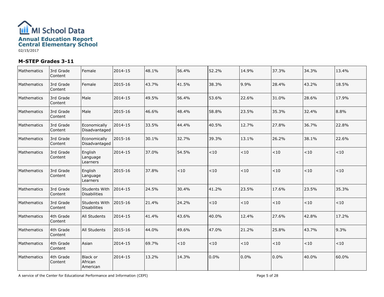

| Mathematics | 3rd Grade<br>Content | Female                                      | 2014-15 | 48.1% | 56.4% | 52.2% | 14.9% | 37.3% | 34.3% | 13.4%   |
|-------------|----------------------|---------------------------------------------|---------|-------|-------|-------|-------|-------|-------|---------|
| Mathematics | 3rd Grade<br>Content | Female                                      | 2015-16 | 43.7% | 41.5% | 38.3% | 9.9%  | 28.4% | 43.2% | 18.5%   |
| Mathematics | 3rd Grade<br>Content | Male                                        | 2014-15 | 49.5% | 56.4% | 53.6% | 22.6% | 31.0% | 28.6% | 17.9%   |
| Mathematics | 3rd Grade<br>Content | Male                                        | 2015-16 | 46.6% | 48.4% | 58.8% | 23.5% | 35.3% | 32.4% | 8.8%    |
| Mathematics | 3rd Grade<br>Content | Economically<br>Disadvantaged               | 2014-15 | 33.5% | 44.4% | 40.5% | 12.7% | 27.8% | 36.7% | 22.8%   |
| Mathematics | 3rd Grade<br>Content | Economically<br>Disadvantaged               | 2015-16 | 30.1% | 32.7% | 39.3% | 13.1% | 26.2% | 38.1% | 22.6%   |
| Mathematics | 3rd Grade<br>Content | English<br>Language<br>Learners             | 2014-15 | 37.0% | 54.5% | < 10  | < 10  | < 10  | < 10  | < 10    |
| Mathematics | 3rd Grade<br>Content | English<br>Language<br>Learners             | 2015-16 | 37.8% | < 10  | < 10  | $<10$ | $<10$ | $<10$ | < 10    |
| Mathematics | 3rd Grade<br>Content | Students With<br><b>Disabilities</b>        | 2014-15 | 24.5% | 30.4% | 41.2% | 23.5% | 17.6% | 23.5% | 35.3%   |
| Mathematics | 3rd Grade<br>Content | <b>Students With</b><br><b>Disabilities</b> | 2015-16 | 21.4% | 24.2% | $<10$ | $<10$ | $<10$ | < 10  | $<\!10$ |
| Mathematics | 4th Grade<br>Content | All Students                                | 2014-15 | 41.4% | 43.6% | 40.0% | 12.4% | 27.6% | 42.8% | 17.2%   |
| Mathematics | 4th Grade<br>Content | All Students                                | 2015-16 | 44.0% | 49.6% | 47.0% | 21.2% | 25.8% | 43.7% | 9.3%    |
| Mathematics | 4th Grade<br>Content | Asian                                       | 2014-15 | 69.7% | ~10   | < 10  | $<10$ | $<10$ | ~10   | $<\!10$ |
| Mathematics | 4th Grade<br>Content | Black or<br>African<br>American             | 2014-15 | 13.2% | 14.3% | 0.0%  | 0.0%  | 0.0%  | 40.0% | 60.0%   |

A service of the Center for Educational Performance and Information (CEPI)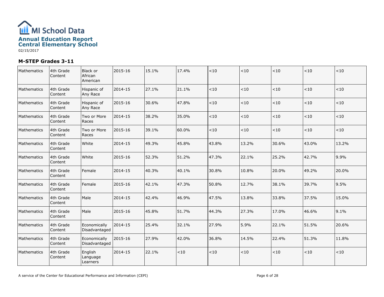

| Mathematics | 4th Grade<br>Content | Black or<br>African<br>American | 2015-16 | 15.1% | 17.4% | < 10    | $<10$   | < 10    | ~10   | < 10    |
|-------------|----------------------|---------------------------------|---------|-------|-------|---------|---------|---------|-------|---------|
| Mathematics | 4th Grade<br>Content | Hispanic of<br>Any Race         | 2014-15 | 27.1% | 21.1% | < 10    | < 10    | $<10$   | $<10$ | $<10$   |
| Mathematics | 4th Grade<br>Content | Hispanic of<br>Any Race         | 2015-16 | 30.6% | 47.8% | $<\!10$ | $<\!10$ | $<\!10$ | $<10$ | $<\!10$ |
| Mathematics | 4th Grade<br>Content | Two or More<br>Races            | 2014-15 | 38.2% | 35.0% | < 10    | $<10$   | $<10$   | ~10   | < 10    |
| Mathematics | 4th Grade<br>Content | Two or More<br>Races            | 2015-16 | 39.1% | 60.0% | < 10    | < 10    | < 10    | < 10  | $<10$   |
| Mathematics | 4th Grade<br>Content | White                           | 2014-15 | 49.3% | 45.8% | 43.8%   | 13.2%   | 30.6%   | 43.0% | 13.2%   |
| Mathematics | 4th Grade<br>Content | White                           | 2015-16 | 52.3% | 51.2% | 47.3%   | 22.1%   | 25.2%   | 42.7% | 9.9%    |
| Mathematics | 4th Grade<br>Content | Female                          | 2014-15 | 40.3% | 40.1% | 30.8%   | 10.8%   | 20.0%   | 49.2% | 20.0%   |
| Mathematics | 4th Grade<br>Content | Female                          | 2015-16 | 42.1% | 47.3% | 50.8%   | 12.7%   | 38.1%   | 39.7% | 9.5%    |
| Mathematics | 4th Grade<br>Content | Male                            | 2014-15 | 42.4% | 46.9% | 47.5%   | 13.8%   | 33.8%   | 37.5% | 15.0%   |
| Mathematics | 4th Grade<br>Content | Male                            | 2015-16 | 45.8% | 51.7% | 44.3%   | 27.3%   | 17.0%   | 46.6% | 9.1%    |
| Mathematics | 4th Grade<br>Content | Economically<br>Disadvantaged   | 2014-15 | 25.4% | 32.1% | 27.9%   | 5.9%    | 22.1%   | 51.5% | 20.6%   |
| Mathematics | 4th Grade<br>Content | Economically<br>Disadvantaged   | 2015-16 | 27.9% | 42.0% | 36.8%   | 14.5%   | 22.4%   | 51.3% | 11.8%   |
| Mathematics | 4th Grade<br>Content | English<br>Language<br>Learners | 2014-15 | 22.1% | < 10  | < 10    | $<10$   | < 10    | $<10$ | < 10    |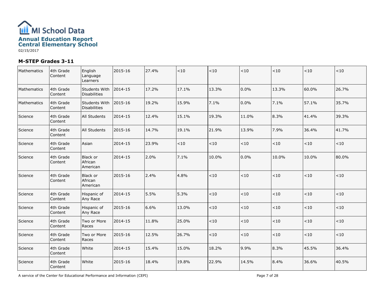

| Mathematics | 4th Grade<br>Content | English<br>Language<br>Learners      | 2015-16 | 27.4% | $<\!10$ | $<10$   | < 10  | < 10    | $<\!10$ | < 10    |
|-------------|----------------------|--------------------------------------|---------|-------|---------|---------|-------|---------|---------|---------|
| Mathematics | 4th Grade<br>Content | Students With<br><b>Disabilities</b> | 2014-15 | 17.2% | 17.1%   | 13.3%   | 0.0%  | 13.3%   | 60.0%   | 26.7%   |
| Mathematics | 4th Grade<br>Content | Students With<br><b>Disabilities</b> | 2015-16 | 19.2% | 15.9%   | 7.1%    | 0.0%  | 7.1%    | 57.1%   | 35.7%   |
| Science     | 4th Grade<br>Content | <b>All Students</b>                  | 2014-15 | 12.4% | 15.1%   | 19.3%   | 11.0% | 8.3%    | 41.4%   | 39.3%   |
| Science     | 4th Grade<br>Content | All Students                         | 2015-16 | 14.7% | 19.1%   | 21.9%   | 13.9% | 7.9%    | 36.4%   | 41.7%   |
| Science     | 4th Grade<br>Content | Asian                                | 2014-15 | 23.9% | < 10    | < 10    | < 10  | < 10    | $<10$   | ${<}10$ |
| Science     | 4th Grade<br>Content | Black or<br>African<br>American      | 2014-15 | 2.0%  | 7.1%    | 10.0%   | 0.0%  | 10.0%   | 10.0%   | 80.0%   |
| Science     | 4th Grade<br>Content | Black or<br>African<br>American      | 2015-16 | 2.4%  | 4.8%    | $<\!10$ | < 10  | < 10    | $<10$   | < 10    |
| Science     | 4th Grade<br>Content | Hispanic of<br>Any Race              | 2014-15 | 5.5%  | 5.3%    | $<$ 10  | < 10  | $<\!10$ | $<10$   | $<\!10$ |
| Science     | 4th Grade<br>Content | Hispanic of<br>Any Race              | 2015-16 | 6.6%  | 13.0%   | $<\!10$ | < 10  | $<\!10$ | $<10$   | $<10$   |
| Science     | 4th Grade<br>Content | Two or More<br>Races                 | 2014-15 | 11.8% | 25.0%   | $<\!10$ | < 10  | $<\!10$ | $<10$   | ${<}10$ |
| Science     | 4th Grade<br>Content | Two or More<br>Races                 | 2015-16 | 12.5% | 26.7%   | $<\!10$ | $<10$ | < 10    | $<10$   | <10     |
| Science     | 4th Grade<br>Content | White                                | 2014-15 | 15.4% | 15.0%   | 18.2%   | 9.9%  | 8.3%    | 45.5%   | 36.4%   |
| Science     | 4th Grade<br>Content | White                                | 2015-16 | 18.4% | 19.8%   | 22.9%   | 14.5% | 8.4%    | 36.6%   | 40.5%   |

A service of the Center for Educational Performance and Information (CEPI)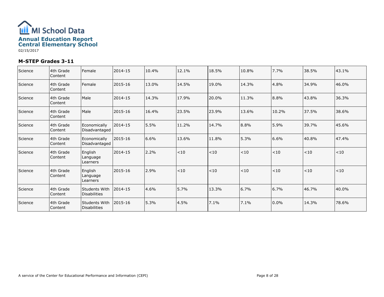

| Science | 4th Grade<br>Content  | Female                               | 2014-15 | 10.4% | 12.1% | 18.5% | 10.8% | 7.7%     | 38.5% | 43.1% |
|---------|-----------------------|--------------------------------------|---------|-------|-------|-------|-------|----------|-------|-------|
| Science | 4th Grade<br>Content  | Female                               | 2015-16 | 13.0% | 14.5% | 19.0% | 14.3% | 4.8%     | 34.9% | 46.0% |
| Science | 4th Grade<br>Content  | Male                                 | 2014-15 | 14.3% | 17.9% | 20.0% | 11.3% | 8.8%     | 43.8% | 36.3% |
| Science | 4th Grade<br>Content  | Male                                 | 2015-16 | 16.4% | 23.5% | 23.9% | 13.6% | 10.2%    | 37.5% | 38.6% |
| Science | 4th Grade<br> Content | Economically<br>Disadvantaged        | 2014-15 | 5.5%  | 11.2% | 14.7% | 8.8%  | 5.9%     | 39.7% | 45.6% |
| Science | 4th Grade<br> Content | Economically<br>Disadvantaged        | 2015-16 | 6.6%  | 13.6% | 11.8% | 5.3%  | 6.6%     | 40.8% | 47.4% |
| Science | 4th Grade<br>Content  | English<br>Language<br>Learners      | 2014-15 | 2.2%  | $<10$ | $<10$ | < 10  | $<10$    | < 10  | <10   |
| Science | 4th Grade<br>Content  | English<br>Language<br>Learners      | 2015-16 | 2.9%  | < 10  | < 10  | < 10  | < 10     | < 10  | <10   |
| Science | 4th Grade<br> Content | Students With<br><b>Disabilities</b> | 2014-15 | 4.6%  | 5.7%  | 13.3% | 6.7%  | 6.7%     | 46.7% | 40.0% |
| Science | 4th Grade<br>Content  | Students With<br><b>Disabilities</b> | 2015-16 | 5.3%  | 4.5%  | 7.1%  | 7.1%  | $ 0.0\%$ | 14.3% | 78.6% |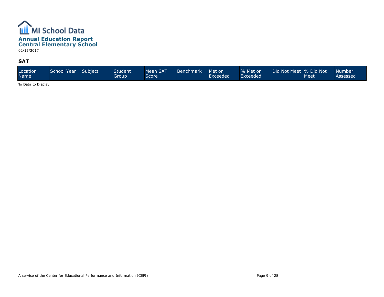

#### **SAT**

| Location<br>Name | School Year | Subject | Student'<br>Group | Mean SAT<br>Score | Benchmark | Met or<br>Exceeded | % Met or<br>Exceeded | Did Not Meet % Did Not | Meet | Number'<br>Assessed |
|------------------|-------------|---------|-------------------|-------------------|-----------|--------------------|----------------------|------------------------|------|---------------------|
|------------------|-------------|---------|-------------------|-------------------|-----------|--------------------|----------------------|------------------------|------|---------------------|

No Data to Display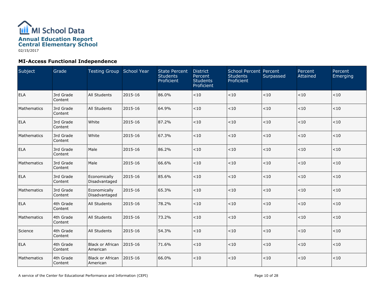

# **MI-Access Functional Independence**

| Subject     | Grade                | Testing Group School Year           |         | <b>State Percent</b><br><b>Students</b><br>Proficient | <b>District</b><br>Percent<br><b>Students</b><br>Proficient | School Percent Percent<br><b>Students</b><br>Proficient | Surpassed | Percent<br>Attained | Percent<br>Emerging |
|-------------|----------------------|-------------------------------------|---------|-------------------------------------------------------|-------------------------------------------------------------|---------------------------------------------------------|-----------|---------------------|---------------------|
| ELA         | 3rd Grade<br>Content | <b>All Students</b>                 | 2015-16 | 86.0%                                                 | < 10                                                        | < 10                                                    | < 10      | < 10                | $<10$               |
| Mathematics | 3rd Grade<br>Content | <b>All Students</b>                 | 2015-16 | 64.9%                                                 | < 10                                                        | < 10                                                    | $<$ 10    | < 10                | $<10$               |
| <b>ELA</b>  | 3rd Grade<br>Content | White                               | 2015-16 | 87.2%                                                 | < 10                                                        | < 10                                                    | <10       | < 10                | $<10$               |
| Mathematics | 3rd Grade<br>Content | White                               | 2015-16 | 67.3%                                                 | < 10                                                        | < 10                                                    | <10       | < 10                | <10                 |
| <b>ELA</b>  | 3rd Grade<br>Content | Male                                | 2015-16 | 86.2%                                                 | < 10                                                        | < 10                                                    | <10       | < 10                | $<10$               |
| Mathematics | 3rd Grade<br>Content | Male                                | 2015-16 | 66.6%                                                 | < 10                                                        | < 10                                                    | <10       | < 10                | $<10$               |
| <b>ELA</b>  | 3rd Grade<br>Content | Economically<br>Disadvantaged       | 2015-16 | 85.6%                                                 | < 10                                                        | < 10                                                    | < 10      | < 10                | $<10$               |
| Mathematics | 3rd Grade<br>Content | Economically<br>Disadvantaged       | 2015-16 | 65.3%                                                 | $<10$                                                       | < 10                                                    | < 10      | < 10                | $<\!10$             |
| <b>ELA</b>  | 4th Grade<br>Content | <b>All Students</b>                 | 2015-16 | 78.2%                                                 | < 10                                                        | < 10                                                    | $<$ 10    | < 10                | $<10$               |
| Mathematics | 4th Grade<br>Content | <b>All Students</b>                 | 2015-16 | 73.2%                                                 | < 10                                                        | < 10                                                    | $<$ 10    | $<10$               | $<10$               |
| Science     | 4th Grade<br>Content | <b>All Students</b>                 | 2015-16 | 54.3%                                                 | <10                                                         | < 10                                                    | < 10      | < 10                | $<\!10$             |
| <b>ELA</b>  | 4th Grade<br>Content | <b>Black or African</b><br>American | 2015-16 | 71.6%                                                 | < 10                                                        | < 10                                                    | $<$ 10    | < 10                | $<10$               |
| Mathematics | 4th Grade<br>Content | <b>Black or African</b><br>American | 2015-16 | 66.0%                                                 | < 10                                                        | < 10                                                    | $<$ 10    | < 10                | $<10$               |

A service of the Center for Educational Performance and Information (CEPI)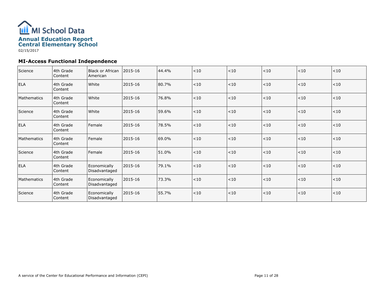

# **MI-Access Functional Independence**

| Science     | 4th Grade<br>Content | Black or African<br>American  | 2015-16 | 44.4% | < 10 | < 10 | $<10$  | $<10$ | < 10  |
|-------------|----------------------|-------------------------------|---------|-------|------|------|--------|-------|-------|
| <b>ELA</b>  | 4th Grade<br>Content | White                         | 2015-16 | 80.7% | < 10 | <10  | < 10   | < 10  | < 10  |
| Mathematics | 4th Grade<br>Content | White                         | 2015-16 | 76.8% | < 10 | < 10 | $<$ 10 | < 10  | < 10  |
| Science     | 4th Grade<br>Content | White                         | 2015-16 | 59.6% | < 10 | < 10 | < 10   | < 10  | < 10  |
| <b>ELA</b>  | 4th Grade<br>Content | Female                        | 2015-16 | 78.5% | < 10 | <10  | < 10   | $<10$ | $<10$ |
| Mathematics | 4th Grade<br>Content | l Female                      | 2015-16 | 69.0% | < 10 | < 10 | < 10   | < 10  | $<10$ |
| Science     | 4th Grade<br>Content | Female                        | 2015-16 | 51.0% | < 10 | < 10 | $<$ 10 | < 10  | < 10  |
| ELA         | 4th Grade<br>Content | Economically<br>Disadvantaged | 2015-16 | 79.1% | < 10 | <10  | < 10   | <10   | < 10  |
| Mathematics | 4th Grade<br>Content | Economically<br>Disadvantaged | 2015-16 | 73.3% | < 10 | <10  | < 10   | < 10  | $<10$ |
| Science     | 4th Grade<br>Content | Economically<br>Disadvantaged | 2015-16 | 55.7% | < 10 | < 10 | < 10   | < 10  | < 10  |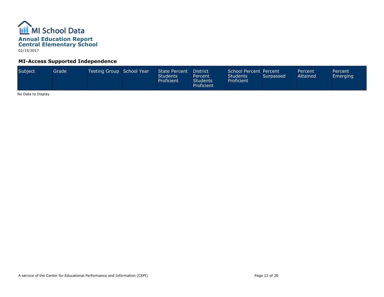

# **MI-Access Supported Independence**

| Subject<br>Testing Group School Year<br>Grade<br>State Percent<br><b>Students</b><br>Proficient | School Percent Percent<br>District<br><b>Students</b><br>Percent<br>Proficient<br><b>Students</b><br>Proficient | Surpassed | Percent<br>Attained | Percent<br>Emerging |
|-------------------------------------------------------------------------------------------------|-----------------------------------------------------------------------------------------------------------------|-----------|---------------------|---------------------|
|-------------------------------------------------------------------------------------------------|-----------------------------------------------------------------------------------------------------------------|-----------|---------------------|---------------------|

No Data to Display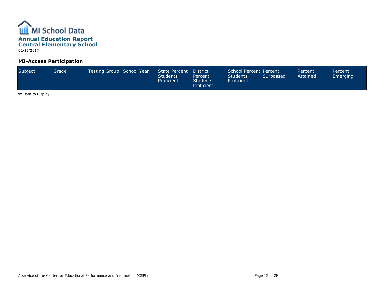

## **MI-Access Participation**

| Subject<br>Testing Group School Year<br>Grade <sup>1</sup> |  | State Percent<br><b>Students</b><br>Proficient | District <sup>1</sup><br>Percent<br><b>Students</b><br>Proficient | School Percent Percent<br><b>Students</b><br>Proficient | Surpassed | Percent<br>Attained | Percent<br>Emerging |
|------------------------------------------------------------|--|------------------------------------------------|-------------------------------------------------------------------|---------------------------------------------------------|-----------|---------------------|---------------------|
|------------------------------------------------------------|--|------------------------------------------------|-------------------------------------------------------------------|---------------------------------------------------------|-----------|---------------------|---------------------|

No Data to Display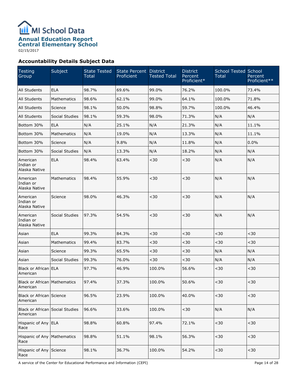

02/15/2017

# **Accountability Details Subject Data**

| Testing<br>Group                                | Subject            | <b>State Tested</b><br>Total | State Percent District<br>Proficient | <b>Tested Total</b> | <b>District</b><br>Percent<br>Proficient* | <b>School Tested School</b><br><b>Total</b> | Percent<br>Proficient** |
|-------------------------------------------------|--------------------|------------------------------|--------------------------------------|---------------------|-------------------------------------------|---------------------------------------------|-------------------------|
| All Students                                    | <b>ELA</b>         | 98.7%                        | 69.6%                                | 99.0%               | 76.2%                                     | 100.0%                                      | 73.4%                   |
| All Students                                    | Mathematics        | 98.6%                        | 62.1%                                | 99.0%               | 64.1%                                     | 100.0%                                      | 71.8%                   |
| All Students                                    | Science            | 98.1%                        | 50.0%                                | 98.8%               | 59.7%                                     | 100.0%                                      | 46.4%                   |
| All Students                                    | Social Studies     | 98.1%                        | 59.3%                                | 98.0%               | 71.3%                                     | N/A                                         | N/A                     |
| Bottom 30%                                      | <b>ELA</b>         | N/A                          | 25.1%                                | N/A                 | 21.3%                                     | N/A                                         | 11.1%                   |
| Bottom 30%                                      | Mathematics        | N/A                          | 19.0%                                | N/A                 | 13.3%                                     | N/A                                         | 11.1%                   |
| Bottom 30%                                      | Science            | N/A                          | 9.8%                                 | N/A                 | 11.8%                                     | N/A                                         | 0.0%                    |
| Bottom 30%                                      | Social Studies     | N/A                          | 13.3%                                | N/A                 | 18.2%                                     | N/A                                         | N/A                     |
| American<br>Indian or<br>Alaska Native          | <b>ELA</b>         | 98.4%                        | 63.4%                                | $30$                | $30$                                      | N/A                                         | N/A                     |
| American<br>Indian or<br>Alaska Native          | <b>Mathematics</b> | 98.4%                        | 55.9%                                | $30$                | $30$                                      | N/A                                         | N/A                     |
| American<br>Indian or<br>Alaska Native          | Science            | 98.0%                        | 46.3%                                | $30$                | $30$                                      | N/A                                         | N/A                     |
| American<br>Indian or<br>Alaska Native          | Social Studies     | 97.3%                        | 54.5%                                | $30$                | $30$                                      | N/A                                         | N/A                     |
| Asian                                           | <b>ELA</b>         | 99.3%                        | 84.3%                                | $30$                | $30$                                      | $30$                                        | $30$                    |
| Asian                                           | <b>Mathematics</b> | 99.4%                        | 83.7%                                | $30$                | $30$                                      | $30$                                        | $30$                    |
| Asian                                           | Science            | 99.3%                        | 65.5%                                | $30$                | $30$                                      | N/A                                         | N/A                     |
| Asian                                           | Social Studies     | 99.3%                        | 76.0%                                | $30$                | $30$                                      | N/A                                         | N/A                     |
| Black or African ELA<br>American                |                    | 97.7%                        | 46.9%                                | 100.0%              | 56.6%                                     | $30$                                        | $30$                    |
| <b>Black or African Mathematics</b><br>American |                    | 97.4%                        | 37.3%                                | 100.0%              | 50.6%                                     | $30$                                        | $30$                    |
| Black or African Science<br>American            |                    | 96.5%                        | 23.9%                                | 100.0%              | 40.0%                                     | $30$                                        | $30$                    |
| Black or African Social Studies<br>American     |                    | 96.6%                        | 33.6%                                | 100.0%              | $30$                                      | N/A                                         | N/A                     |
| Hispanic of Any ELA<br>Race                     |                    | 98.8%                        | 60.8%                                | 97.4%               | 72.1%                                     | $30$                                        | $30$                    |
| Hispanic of Any   Mathematics<br>Race           |                    | 98.8%                        | 51.1%                                | 98.1%               | 56.3%                                     | $30$                                        | $30$                    |
| Hispanic of Any Science<br>Race                 |                    | 98.1%                        | 36.7%                                | 100.0%              | 54.2%                                     | $30$                                        | $30$                    |

A service of the Center for Educational Performance and Information (CEPI) A service of the Center for Educational Performance and Information (CEPI)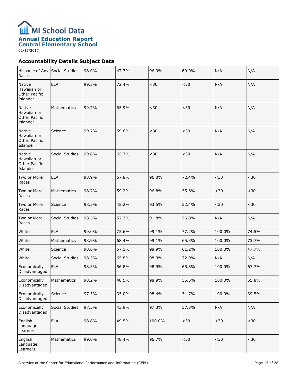

02/15/2017

# **Accountability Details Subject Data**

| Hispanic of Any Social Studies<br>Race                    |                | 98.0% | 47.7% | 96.9%  | 69.0%       | N/A    | N/A   |
|-----------------------------------------------------------|----------------|-------|-------|--------|-------------|--------|-------|
| Native<br>Hawaiian or<br><b>Other Pacific</b><br>Islander | <b>ELA</b>     | 99.5% | 72.4% | $30$   | $30$        | N/A    | N/A   |
| Native<br>Hawaiian or<br><b>Other Pacific</b><br>Islander | Mathematics    | 99.7% | 65.9% | $30$   | $30$        | N/A    | N/A   |
| Native<br>Hawaiian or<br><b>Other Pacific</b><br>Islander | Science        | 99.7% | 59.6% | $30$   | $30$        | N/A    | N/A   |
| Native<br>Hawaiian or<br><b>Other Pacific</b><br>Islander | Social Studies | 99.6% | 65.7% | $30$   | $30$        | N/A    | N/A   |
| Two or More<br>Races                                      | <b>ELA</b>     | 98.9% | 67.8% | 96.0%  | 72.4%       | $30$   | $30$  |
| Two or More<br>Races                                      | Mathematics    | 98.7% | 59.2% | 96.8%  | 55.6%       | $30$   | $30$  |
| Two or More<br>Races                                      | Science        | 98.5% | 45.2% | 93.5%  | 52.4%       | $30$   | $30$  |
| Two or More<br>Races                                      | Social Studies | 98.5% | 57.3% | 91.8%  | 56.8%       | N/A    | N/A   |
| White                                                     | <b>ELA</b>     | 99.0% | 75.6% | 99.1%  | 77.2%       | 100.0% | 74.5% |
| White                                                     | Mathematics    | 98.9% | 68.4% | 99.1%  | 65.3%       | 100.0% | 73.7% |
| White                                                     | Science        | 98.6% | 57.1% | 98.9%  | 61.2%       | 100.0% | 47.7% |
| White                                                     | Social Studies | 98.5% | 65.8% | 98.3%  | 72.9%       | N/A    | N/A   |
| Economically<br>Disadvantaged                             | <b>ELA</b>     | 98.3% | 56.8% | 98.9%  | 65.8%       | 100.0% | 67.7% |
| Economically<br>Disadvantaged                             | Mathematics    | 98.2% | 48.5% | 98.9%  | 55.5%       | 100.0% | 65.8% |
| Economically<br>Disadvantaged                             | Science        | 97.5% | 35.0% | 98.4%  | 51.7%       | 100.0% | 39.5% |
| Economically<br>Disadvantaged                             | Social Studies | 97.5% | 43.9% | 97.3%  | 57.3%       | N/A    | N/A   |
| English<br>Language<br>Learners                           | <b>ELA</b>     | 98.8% | 49.5% | 100.0% | $<$ 30 $\,$ | $30$   | $30$  |
| English<br>Language<br>Learners                           | Mathematics    | 99.0% | 48.4% | 96.7%  | $<$ 30 $\,$ | $30$   | $30$  |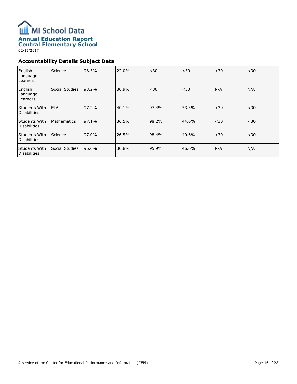

# **Central Elementary School**

02/15/2017

# **Accountability Details Subject Data**

| English<br>Language<br>Learners      | Science            | 98.5% | 22.0% | < 30  | $30$  | $30$ | $30$ |
|--------------------------------------|--------------------|-------|-------|-------|-------|------|------|
| English<br>Language<br>Learners      | Social Studies     | 98.2% | 30.9% | $30$  | $30$  | N/A  | N/A  |
| Students With<br><b>Disabilities</b> | l ELA              | 97.2% | 40.1% | 97.4% | 53.3% | $30$ | $30$ |
| Students With<br><b>Disabilities</b> | <b>Mathematics</b> | 97.1% | 36.5% | 98.2% | 44.6% | $30$ | $30$ |
| Students With<br><b>Disabilities</b> | Science            | 97.0% | 26.5% | 98.4% | 40.6% | $30$ | $30$ |
| Students With<br><b>Disabilities</b> | Social Studies     | 96.6% | 30.8% | 95.9% | 46.6% | N/A  | N/A  |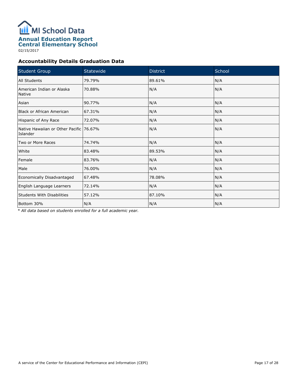

02/15/2017

# **Accountability Details Graduation Data**

| <b>Student Group</b>                                | Statewide | <b>District</b> | School |
|-----------------------------------------------------|-----------|-----------------|--------|
| All Students                                        | 79.79%    | 89.61%          | N/A    |
| American Indian or Alaska<br><b>Native</b>          | 70.88%    | N/A             | N/A    |
| Asian                                               | 90.77%    | N/A             | N/A    |
| <b>Black or African American</b>                    | 67.31%    | N/A             | N/A    |
| Hispanic of Any Race                                | 72.07%    | N/A             | N/A    |
| Native Hawaiian or Other Pacific 76.67%<br>Islander |           | N/A             | N/A    |
| Two or More Races                                   | 74.74%    | N/A             | N/A    |
| White                                               | 83.48%    | 89.53%          | N/A    |
| Female                                              | 83.76%    | N/A             | N/A    |
| Male                                                | 76.00%    | N/A             | N/A    |
| Economically Disadvantaged                          | 67.48%    | 78.08%          | N/A    |
| English Language Learners                           | 72.14%    | N/A             | N/A    |
| <b>Students With Disabilities</b>                   | 57.12%    | 87.10%          | N/A    |
| Bottom 30%                                          | N/A       | N/A             | N/A    |

*\* All data based on students enrolled for a full academic year.*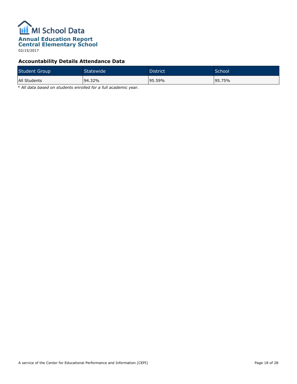

02/15/2017

# **Accountability Details Attendance Data**

| <b>Student Group</b> | Statewide <sup>1</sup> | <b>District</b> | School  |
|----------------------|------------------------|-----------------|---------|
| All Students         | 94.32%                 | 195.59%         | 195.75% |

*\* All data based on students enrolled for a full academic year.*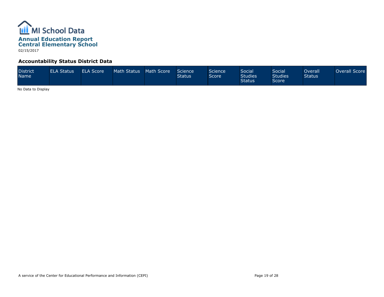

## **Accountability Status District Data**

| <b>District</b><br><b>Name</b> | <b>ELA Status</b> | ELA Score | Math Status | Math Score | Science<br><b>Status</b> | Science<br>Score <sup>1</sup> | <b>Social</b><br><b>Studies</b><br><b>Status</b> | Social<br><b>Studies</b><br>Score | Overall <sup>1</sup><br><b>Status</b> | Overall Score |
|--------------------------------|-------------------|-----------|-------------|------------|--------------------------|-------------------------------|--------------------------------------------------|-----------------------------------|---------------------------------------|---------------|
|--------------------------------|-------------------|-----------|-------------|------------|--------------------------|-------------------------------|--------------------------------------------------|-----------------------------------|---------------------------------------|---------------|

No Data to Display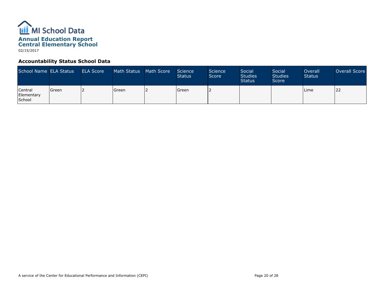

## **Accountability Status School Data**

| School Name ELA Status                 |         | <b>ELA Score</b> | Math Status | Math Score | Science<br><b>Status</b> | Science<br>Score | Social<br><b>Studies</b><br><b>Status</b> | Social<br><b>Studies</b><br>Score | Overall<br><b>Status</b> | Overall Score |
|----------------------------------------|---------|------------------|-------------|------------|--------------------------|------------------|-------------------------------------------|-----------------------------------|--------------------------|---------------|
| Central<br>Elementary<br><b>School</b> | l Green |                  | l Green     |            | Green                    |                  |                                           |                                   | l Lime                   | 22            |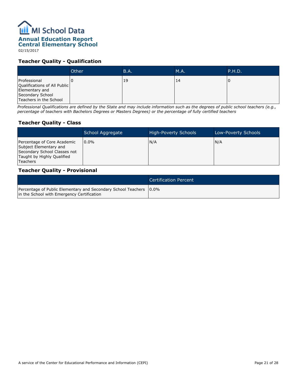# **ILL** MI School Data **Annual Education Report Central Elementary School**

02/15/2017

## **Teacher Quality - Qualification**

|                                                                                                              | Other | <b>B.A.</b> | M.A. | P.H.D. |
|--------------------------------------------------------------------------------------------------------------|-------|-------------|------|--------|
| Professional<br>Qualifications of All Public<br>Elementary and<br>Secondary School<br>Teachers in the School |       | 19          | 14   |        |

*Professional Qualifications are defined by the State and may include information such as the degrees of public school teachers (e.g., percentage of teachers with Bachelors Degrees or Masters Degrees) or the percentage of fully certified teachers*

# **Teacher Quality - Class**

|                                                                                                                                        | School Aggregate | <b>High-Poverty Schools</b> | Low-Poverty Schools |
|----------------------------------------------------------------------------------------------------------------------------------------|------------------|-----------------------------|---------------------|
| Percentage of Core Academic<br>Subject Elementary and<br>Secondary School Classes not<br>Taught by Highly Qualified<br><b>Teachers</b> | $10.0\%$         | N/A                         | N/A                 |

#### **Teacher Quality - Provisional**

|                                                                                                                    | Certification Percent |
|--------------------------------------------------------------------------------------------------------------------|-----------------------|
| Percentage of Public Elementary and Secondary School Teachers   0.0%<br>in the School with Emergency Certification |                       |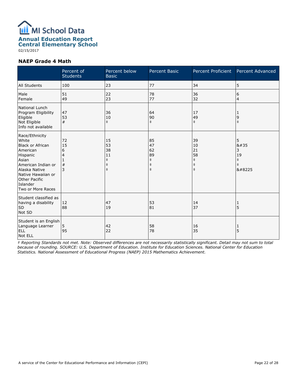

02/15/2017

#### **NAEP Grade 4 Math**

|                                                                                                                                                                                                           | Percent of<br><b>Students</b> | Percent below<br><b>Basic</b>                                  | <b>Percent Basic</b>                                           | Percent Proficient                                             | Percent Advanced                                      |
|-----------------------------------------------------------------------------------------------------------------------------------------------------------------------------------------------------------|-------------------------------|----------------------------------------------------------------|----------------------------------------------------------------|----------------------------------------------------------------|-------------------------------------------------------|
| All Students                                                                                                                                                                                              | 100                           | 23                                                             | 77                                                             | 34                                                             | 5                                                     |
| Male<br>Female                                                                                                                                                                                            | 51<br>49                      | 22<br>23                                                       | 78<br>77                                                       | 36<br>32                                                       | 6<br>4                                                |
| National Lunch<br>Program Eligibility<br>Eligible<br>Not Eligible<br>Info not available                                                                                                                   | 47<br>53<br>#                 | 36<br>10<br>$\ddagger$                                         | 64<br>90<br>$\ddagger$                                         | 17<br>49<br>$\ddagger$                                         | 1<br>9<br>$\ddagger$                                  |
| Race/Ethnicity<br>White<br><b>Black or African</b><br>American<br>Hispanic<br>Asian<br>American Indian or<br>Alaska Native<br>Native Hawaiian or<br><b>Other Pacific</b><br>Islander<br>Two or More Races | 72<br>15<br>6<br>4<br>#<br>3  | 15<br>53<br>38<br>11<br>$\ddagger$<br>$\ddagger$<br>$\ddagger$ | 85<br>47<br>62<br>89<br>$\ddagger$<br>$\ddagger$<br>$\ddagger$ | 39<br>10<br>21<br>58<br>$\ddagger$<br>$\ddagger$<br>$\ddagger$ | 5<br>8#35<br>3<br>19<br>$\ddagger$<br>$\ddagger$<br>‡ |
| Student classified as<br>having a disability<br><b>SD</b><br>Not SD                                                                                                                                       | 12<br>88                      | 47<br>19                                                       | 53<br>81                                                       | 14<br>37                                                       | 1<br>5                                                |
| Student is an English<br>Language Learner<br><b>ELL</b><br>Not ELL                                                                                                                                        | 5<br>95                       | 42<br>22                                                       | 58<br>78                                                       | 16<br>35                                                       | 1<br>5                                                |

*‡ Reporting Standards not met. Note: Observed differences are not necessarily statistically significant. Detail may not sum to total because of rounding. SOURCE: U.S. Department of Education. Institute for Education Sciences. National Center for Education Statistics. National Assessment of Educational Progress (NAEP) 2015 Mathematics Achievement.*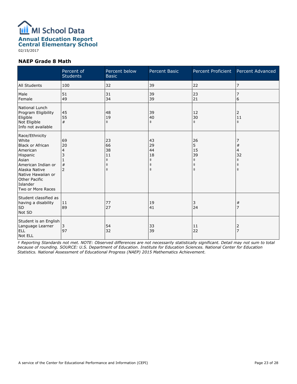

02/15/2017

#### **NAEP Grade 8 Math**

|                                                                                                                                                                                                           | Percent of<br><b>Students</b>                | Percent below<br><b>Basic</b>                                  | Percent Basic                                                  | Percent Proficient                                            | Percent Advanced                                       |
|-----------------------------------------------------------------------------------------------------------------------------------------------------------------------------------------------------------|----------------------------------------------|----------------------------------------------------------------|----------------------------------------------------------------|---------------------------------------------------------------|--------------------------------------------------------|
| All Students                                                                                                                                                                                              | 100                                          | 32                                                             | 39                                                             | 22                                                            | 7                                                      |
| Male<br>Female                                                                                                                                                                                            | 51<br>49                                     | 31<br>34                                                       | 39<br>39                                                       | 23<br>21                                                      | 7<br>6                                                 |
| National Lunch<br>Program Eligibility<br>Eligible<br>Not Eligible<br>Info not available                                                                                                                   | 45<br>55<br>#                                | 48<br>19<br>$\ddagger$                                         | 39<br>40<br>$\ddagger$                                         | 12<br>30<br>$\ddagger$                                        | 2<br>11<br>$\pm$                                       |
| Race/Ethnicity<br>White<br><b>Black or African</b><br>American<br>Hispanic<br>Asian<br>American Indian or<br>Alaska Native<br>Native Hawaiian or<br><b>Other Pacific</b><br>Islander<br>Two or More Races | 69<br>20<br>4<br>3<br>$\#$<br>$\overline{2}$ | 23<br>66<br>38<br>11<br>$\ddagger$<br>$\ddagger$<br>$\ddagger$ | 43<br>29<br>44<br>18<br>$\ddagger$<br>$\ddagger$<br>$\ddagger$ | 26<br>5<br>15<br>39<br>$\ddagger$<br>$\ddagger$<br>$\ddagger$ | #<br>4<br>32<br>$\ddagger$<br>$\ddagger$<br>$\ddagger$ |
| Student classified as<br>having a disability<br><b>SD</b><br>Not SD                                                                                                                                       | 11<br>89                                     | 77<br>27                                                       | 19<br>41                                                       | 3<br>24                                                       | #<br>7                                                 |
| Student is an English<br>Language Learner<br><b>ELL</b><br>Not ELL                                                                                                                                        | 3<br>97                                      | 54<br>32                                                       | 33<br>39                                                       | 11<br>22                                                      | $\overline{2}$<br>$\overline{7}$                       |

*‡ Reporting Standards not met. NOTE: Observed differences are not necessarily statistically significant. Detail may not sum to total because of rounding. SOURCE: U.S. Department of Education. Institute for Education Sciences. National Center for Education Statistics. National Assessment of Educational Progress (NAEP) 2015 Mathematics Achievement.*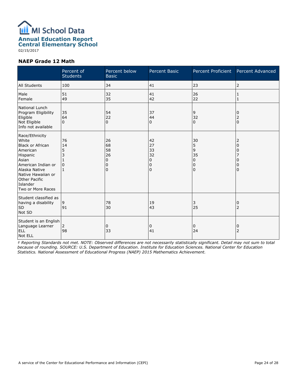

02/15/2017

#### **NAEP Grade 12 Math**

|                                                                                                                                                                                                           | Percent of<br><b>Students</b>  | Percent below<br><b>Basic</b>                           | <b>Percent Basic</b>                | Percent Proficient                          | Percent Advanced                         |
|-----------------------------------------------------------------------------------------------------------------------------------------------------------------------------------------------------------|--------------------------------|---------------------------------------------------------|-------------------------------------|---------------------------------------------|------------------------------------------|
| All Students                                                                                                                                                                                              | 100                            | 34                                                      | 41                                  | 23                                          | 2                                        |
| Male<br>Female                                                                                                                                                                                            | 51<br>49                       | 32<br>35                                                | 41<br>42                            | 26<br>22                                    | 1<br>1                                   |
| National Lunch<br>Program Eligibility<br>Eligible<br>Not Eligible<br>Info not available                                                                                                                   | 35<br>64<br>$\Omega$           | 54<br>22<br>$\Omega$                                    | 37<br>44<br>0                       | 9<br>32<br>$\Omega$                         | 0<br>$\overline{c}$<br>$\Omega$          |
| Race/Ethnicity<br>White<br><b>Black or African</b><br>American<br>Hispanic<br>Asian<br>American Indian or<br>Alaska Native<br>Native Hawaiian or<br><b>Other Pacific</b><br>Islander<br>Two or More Races | 76<br>14<br>5<br>3<br>$\Omega$ | 26<br>68<br>58<br>26<br>$\mathbf 0$<br>0<br>$\mathbf 0$ | 42<br>27<br>33<br>32<br>0<br>0<br>0 | 30<br>5<br>9<br>35<br>0<br>0<br>$\mathbf 0$ | 2<br>$\Omega$<br>0<br>0<br>0<br>$\Omega$ |
| Student classified as<br>having a disability<br><b>SD</b><br>Not SD                                                                                                                                       | 9<br>91                        | 78<br>30                                                | 19<br>43                            | 3<br>25                                     | 0<br>$\overline{2}$                      |
| Student is an English<br>Language Learner<br><b>ELL</b><br>Not ELL                                                                                                                                        | 2<br>98                        | 0<br>33                                                 | 0<br>41                             | 0<br>24                                     | 0<br>$\overline{2}$                      |

*‡ Reporting Standards not met. NOTE: Observed differences are not necessarily statistically significant. Detail may not sum to total because of rounding. SOURCE: U.S. Department of Education. Institute for Education Sciences. National Center for Education Statistics. National Assessment of Educational Progress (NAEP) 2015 Mathematics Achievement.*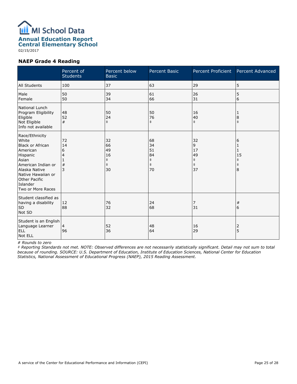

02/15/2017

#### **NAEP Grade 4 Reading**

|                                                                                                                                                                                                           | Percent of<br><b>Students</b> | Percent below<br><b>Basic</b>                          | <b>Percent Basic</b>                                   | Percent Proficient                                    | Percent Advanced                                   |
|-----------------------------------------------------------------------------------------------------------------------------------------------------------------------------------------------------------|-------------------------------|--------------------------------------------------------|--------------------------------------------------------|-------------------------------------------------------|----------------------------------------------------|
| All Students                                                                                                                                                                                              | 100                           | 37                                                     | 63                                                     | 29                                                    | 5                                                  |
| Male<br>Female                                                                                                                                                                                            | 50<br>50                      | 39<br>34                                               | 61<br>66                                               | 26<br>31                                              | 5<br>6                                             |
| National Lunch<br>Program Eligibility<br>Eligible<br>Not Eligible<br>Info not available                                                                                                                   | 48<br>52<br>#                 | 50<br>24<br>$\ddagger$                                 | 50<br>76<br>$\ddagger$                                 | 16<br>40<br>$\ddagger$                                | 1<br>8<br>$\ddagger$                               |
| Race/Ethnicity<br>White<br><b>Black or African</b><br>American<br>Hispanic<br>Asian<br>American Indian or<br>Alaska Native<br>Native Hawaiian or<br><b>Other Pacific</b><br>Islander<br>Two or More Races | 72<br>14<br>6<br>4<br>#<br>3  | 32<br>66<br>49<br>16<br>$\ddagger$<br>$\ddagger$<br>30 | 68<br>34<br>51<br>84<br>$\ddagger$<br>$\ddagger$<br>70 | 32<br>9<br>17<br>49<br>$\ddagger$<br>$\ddagger$<br>37 | 6<br>1<br>1<br>15<br>$\ddagger$<br>$\ddagger$<br>8 |
| Student classified as<br>having a disability<br>SD<br>Not SD                                                                                                                                              | 12<br>88                      | 76<br>32                                               | 24<br>68                                               | 7<br>31                                               | $\#$<br>6                                          |
| Student is an English<br>Language Learner<br><b>ELL</b><br>Not ELL                                                                                                                                        | $\overline{4}$<br>96          | 52<br>36                                               | 48<br>64                                               | 16<br>29                                              | 2<br>5                                             |

#### *# Rounds to zero*

*‡ Reporting Standards not met. NOTE: Observed differences are not necessarily statistically significant. Detail may not sum to total because of rounding. SOURCE: U.S. Department of Education, Institute of Education Sciences, National Center for Education Statistics, National Assessment of Educational Progress (NAEP), 2015 Reading Assessment.*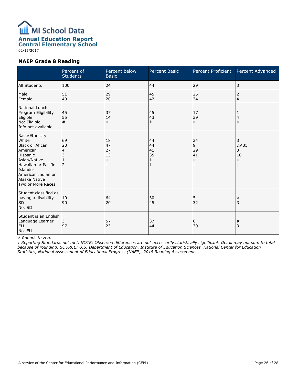

02/15/2017

#### **NAEP Grade 8 Reading**

|                                                                                                                                                                                          | Percent of<br><b>Students</b>   | Percent below<br><b>Basic</b>                    | <b>Percent Basic</b>                             | <b>Percent Proficient</b>                       | Percent Advanced                              |
|------------------------------------------------------------------------------------------------------------------------------------------------------------------------------------------|---------------------------------|--------------------------------------------------|--------------------------------------------------|-------------------------------------------------|-----------------------------------------------|
| All Students                                                                                                                                                                             | 100                             | 24                                               | 44                                               | 29                                              | 3                                             |
| Male<br>Female                                                                                                                                                                           | 51<br>49                        | 29<br>20                                         | 45<br>42                                         | 25<br>34                                        | 2<br>4                                        |
| National Lunch<br>Program Eligibility<br>Eligible<br>Not Eligible<br>Info not available                                                                                                  | 45<br>55<br>#                   | 37<br>14<br>$\ddagger$                           | 45<br>43<br>$\ddagger$                           | 17<br>39<br>$\ddagger$                          | 1<br>4<br>$\ddagger$                          |
| Race/Ethnicity<br>White<br><b>Black or Afican</b><br>American<br>Hispanic<br>Asian/Native<br>Hawaiian or Pacific<br>Islander<br>American Indian or<br>Alaska Native<br>Two or More Races | 69<br>20<br>4<br>$\overline{2}$ | 18<br>47<br>27<br>13<br>$\ddagger$<br>$\ddagger$ | 44<br>44<br>41<br>35<br>$\ddagger$<br>$\ddagger$ | 34<br>9<br>29<br>41<br>$\ddagger$<br>$\ddagger$ | 3<br>#<br>3<br>10<br>$\ddagger$<br>$\ddagger$ |
| Student classified as<br>having a disability<br><b>SD</b><br>Not SD                                                                                                                      | 10<br>90                        | 64<br>20                                         | 30<br>45                                         | 5<br>32                                         | #<br>3                                        |
| Student is an English<br>Language Learner<br><b>ELL</b><br>Not ELL                                                                                                                       | 3<br>97                         | 57<br>23                                         | 37<br>44                                         | 6<br>30                                         | $\#$<br>3                                     |

*# Rounds to zero*

*‡ Reporting Standards not met. NOTE: Observed differences are not necessarily statistically significant. Detail may not sum to total because of rounding. SOURCE: U.S. Department of Education, Institute of Education Sciences, National Center for Education Statistics, National Assessment of Educational Progress (NAEP), 2015 Reading Assessment.*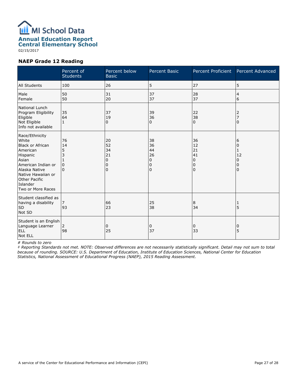

# **Annual Education Report**

**Central Elementary School**

02/15/2017

#### **NAEP Grade 12 Reading**

|                                                                                                                                                                                                           | Percent of<br><b>Students</b>           | Percent below<br><b>Basic</b>       | Percent Basic                       | Percent Proficient                  | Percent Advanced                               |
|-----------------------------------------------------------------------------------------------------------------------------------------------------------------------------------------------------------|-----------------------------------------|-------------------------------------|-------------------------------------|-------------------------------------|------------------------------------------------|
| All Students                                                                                                                                                                                              | 100                                     | 26                                  | 5                                   | 27                                  | 5                                              |
| Male<br>Female                                                                                                                                                                                            | 50<br>50                                | 31<br>20                            | 37<br>37                            | 28<br>37                            | $\overline{4}$<br>6                            |
| National Lunch<br>Program Eligibility<br>Eligible<br>Not Eligible<br>Info not available                                                                                                                   | 35<br>64<br>$\mathbf{1}$                | 37<br>19<br>0                       | 39<br>36<br>0                       | 22<br>38<br>$\mathbf 0$             | 2<br>$\overline{7}$<br>$\Omega$                |
| Race/Ethnicity<br>White<br><b>Black or African</b><br>American<br>Hispanic<br>Asian<br>American Indian or<br>Alaska Native<br>Native Hawaiian or<br><b>Other Pacific</b><br>Islander<br>Two or More Races | 76<br>14<br>5<br>3<br>0<br><sup>0</sup> | 20<br>52<br>34<br>21<br>0<br>0<br>0 | 38<br>36<br>44<br>26<br>0<br>0<br>0 | 36<br>12<br>21<br>41<br>0<br>0<br>0 | 6<br>$\Omega$<br>1<br>12<br>0<br>0<br>$\Omega$ |
| Student classified as<br>having a disability<br><b>SD</b><br>Not SD                                                                                                                                       | 7<br>93                                 | 66<br>23                            | 25<br>38                            | 8<br>34                             | 1<br>5                                         |
| Student is an English<br>Language Learner<br><b>ELL</b><br>Not ELL                                                                                                                                        | 2<br>98                                 | 0<br>25                             | 0<br>37                             | 0<br>33                             | 0<br>5                                         |

#### *# Rounds to zero*

*‡ Reporting Standards not met. NOTE: Observed differences are not necessarily statistically significant. Detail may not sum to total because of rounding. SOURCE: U.S. Department of Education, Institute of Education Sciences, National Center for Education Statistics, National Assessment of Educational Progress (NAEP), 2015 Reading Assessment.*